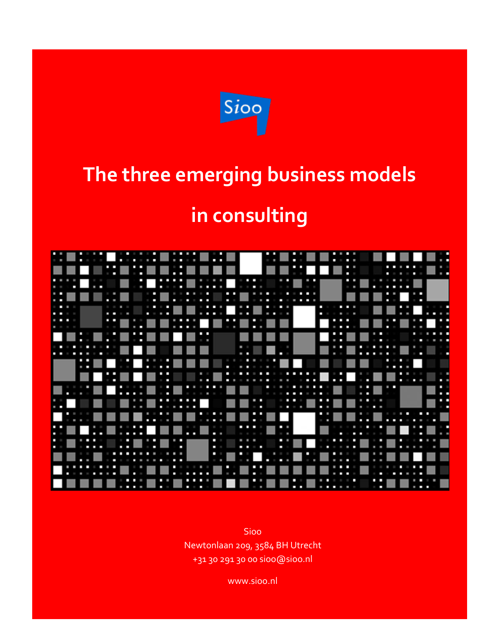

# **The three emerging business models**

# **in consulting**



Sioo Newtonlaan 209, 3584 BH Utrecht +31 30 291 30 00 sioo@sioo.nl

www.sioo.nl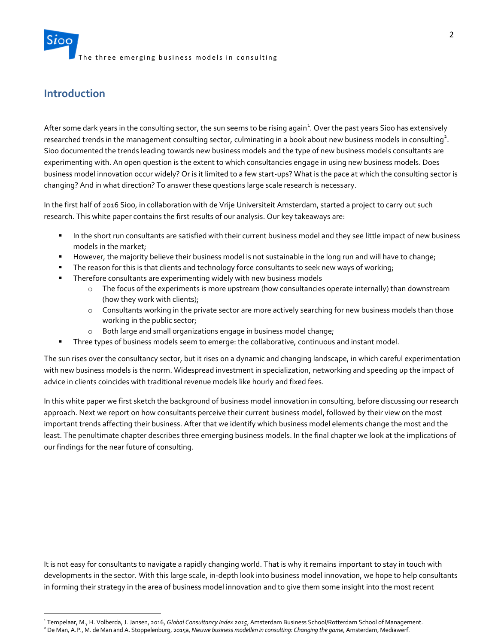## **Introduction**

 $\overline{\phantom{a}}$ 

After some dark years in the consulting sector, the sun seems to be rising again $^1$ . Over the past years Sioo has extensively researched trends in the management consulting sector, culminating in a book about new business models in consulting $^2$ . Sioo documented the trends leading towards new business models and the type of new business models consultants are experimenting with. An open question is the extent to which consultancies engage in using new business models. Does business model innovation occur widely? Or is it limited to a few start-ups? What is the pace at which the consulting sector is changing? And in what direction? To answer these questions large scale research is necessary.

In the first half of 2016 Sioo, in collaboration with de Vrije Universiteit Amsterdam, started a project to carry out such research. This white paper contains the first results of our analysis. Our key takeaways are:

- In the short run consultants are satisfied with their current business model and they see little impact of new business models in the market;
- However, the majority believe their business model is not sustainable in the long run and will have to change;
- The reason for this is that clients and technology force consultants to seek new ways of working;
- Therefore consultants are experimenting widely with new business models
	- o The focus of the experiments is more upstream (how consultancies operate internally) than downstream (how they work with clients);
	- o Consultants working in the private sector are more actively searching for new business models than those working in the public sector;
	- o Both large and small organizations engage in business model change;
- **Three types of business models seem to emerge: the collaborative, continuous and instant model.**

The sun rises over the consultancy sector, but it rises on a dynamic and changing landscape, in which careful experimentation with new business models is the norm. Widespread investment in specialization, networking and speeding up the impact of advice in clients coincides with traditional revenue models like hourly and fixed fees.

In this white paper we first sketch the background of business model innovation in consulting, before discussing our research approach. Next we report on how consultants perceive their current business model, followed by their view on the most important trends affecting their business. After that we identify which business model elements change the most and the least. The penultimate chapter describes three emerging business models. In the final chapter we look at the implications of our findings for the near future of consulting.

It is not easy for consultants to navigate a rapidly changing world. That is why it remains important to stay in touch with developments in the sector. With this large scale, in-depth look into business model innovation, we hope to help consultants in forming their strategy in the area of business model innovation and to give them some insight into the most recent

<sup>1</sup> Tempelaar, M., H. Volberda, J. Jansen, 2016, *Global Consultancy Index 2015*, Amsterdam Business School/Rotterdam School of Management.

<sup>2</sup> De Man, A.P., M. de Man and A. Stoppelenburg, 2015a, *Nieuwe business modellen in consulting: Changing the game*, Amsterdam, Mediawerf.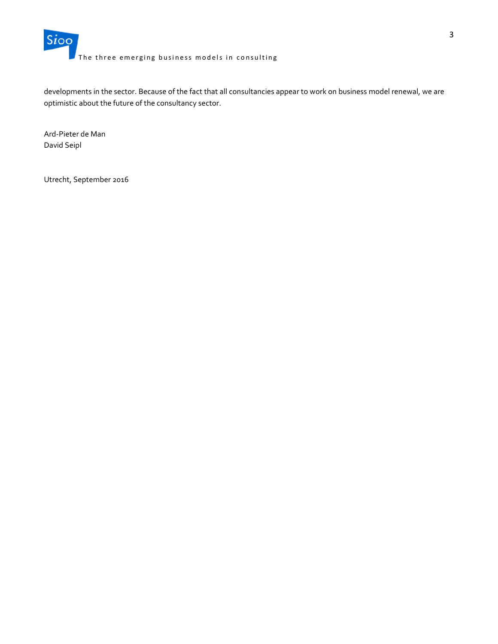

developments in the sector. Because of the fact that all consultancies appear to work on business model renewal, we are optimistic about the future of the consultancy sector.

Ard-Pieter de Man David Seipl

Utrecht, September 2016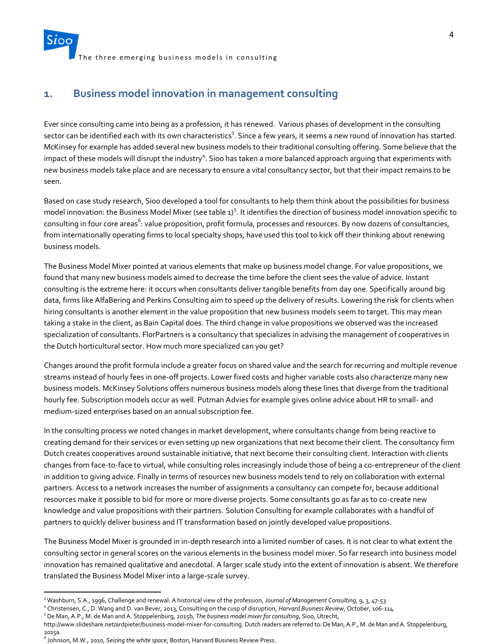Sioo The three emerging business models in consulting

## **1. Business model innovation in management consulting**

Ever since consulting came into being as a profession, it has renewed. Various phases of development in the consulting sector can be identified each with its own characteristics<sup>3</sup>. Since a few years, it seems a new round of innovation has started. McKinsey for example has added several new business models to their traditional consulting offering. Some believe that the impact of these models will disrupt the industry $^4$ . Sioo has taken a more balanced approach arguing that experiments with new business models take place and are necessary to ensure a vital consultancy sector, but that their impact remains to be seen.

Based on case study research, Sioo developed a tool for consultants to help them think about the possibilities for business model innovation: the Business Model Mixer (see table 1)<sup>5</sup>. It identifies the direction of business model innovation specific to consulting in four core areas $^6$ : value proposition, profit formula, processes and resources. By now dozens of consultancies, from internationally operating firms to local specialty shops, have used this tool to kick off their thinking about renewing business models.

The Business Model Mixer pointed at various elements that make up business model change. For value propositions, we found that many new business models aimed to decrease the time before the client sees the value of advice. Instant consulting is the extreme here: it occurs when consultants deliver tangible benefits from day one. Specifically around big data, firms like AlfaBering and Perkins Consulting aim to speed up the delivery of results. Lowering the risk for clients when hiring consultants is another element in the value proposition that new business models seem to target. This may mean taking a stake in the client, as Bain Capital does. The third change in value propositions we observed was the increased specialization of consultants. FlorPartners is a consultancy that specializes in advising the management of cooperatives in the Dutch horticultural sector. How much more specialized can you get?

Changes around the profit formula include a greater focus on shared value and the search for recurring and multiple revenue streams instead of hourly fees in one-off projects. Lower fixed costs and higher variable costs also characterize many new business models. McKinsey Solutions offers numerous business models along these lines that diverge from the traditional hourly fee. Subscription models occur as well. Putman Advies for example gives online advice about HR to small- and medium-sized enterprises based on an annual subscription fee.

In the consulting process we noted changes in market development, where consultants change from being reactive to creating demand for their services or even setting up new organizations that next become their client. The consultancy firm Dutch creates cooperatives around sustainable initiative, that next become their consulting client. Interaction with clients changes from face-to-face to virtual, while consulting roles increasingly include those of being a co-entrepreneur of the client in addition to giving advice. Finally in terms of resources new business models tend to rely on collaboration with external partners. Access to a network increases the number of assignments a consultancy can compete for, because additional resources make it possible to bid for more or more diverse projects. Some consultants go as far as to co-create new knowledge and value propositions with their partners. Solution Consulting for example collaborates with a handful of partners to quickly deliver business and IT transformation based on jointly developed value propositions.

The Business Model Mixer is grounded in in-depth research into a limited number of cases. It is not clear to what extent the consulting sector in general scores on the various elements in the business model mixer. So far research into business model innovation has remained qualitative and anecdotal. A larger scale study into the extent of innovation is absent. We therefore translated the Business Model Mixer into a large-scale survey.

<sup>3</sup> Washburn, S.A., 1996, Challenge and renewal: A historical view of the profession, *Journal of Management Consulting*, 9, 3, 47-53.

<sup>4</sup> Christensen, C., D. Wang and D. van Bever, 2013, Consulting on the cusp of disruption, *Harvard Business Review*, October, 106-114.

<sup>5</sup> De Man, A.P., M. de Man and A. Stoppelenburg, 2015b, *The business model mixer for consulting*, Sioo, Utrecht,

http://www.slideshare.net/ardpieter/business-model-mixer-for-consulting. Dutch readers are referred to: De Man, A.P., M. de Man and A. Stoppelenburg, 2015a.

<sup>6</sup> Johnson, M.W., 2010, *Seizing the white space*, Boston, Harvard Business Review Press.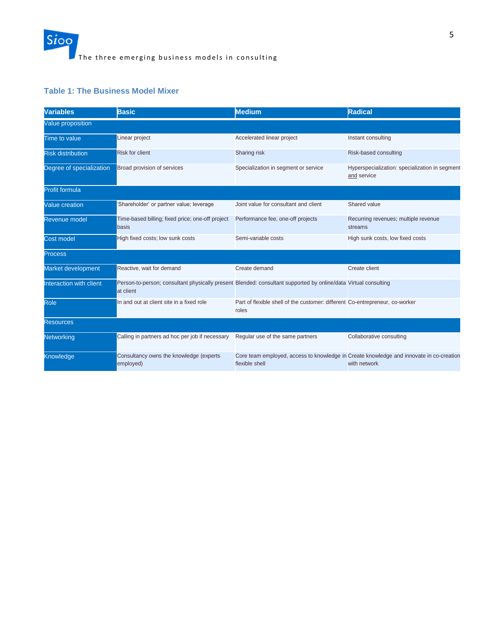### **Table 1: The Business Model Mixer**

| <b>Variables</b>         | <b>Basic</b>                                                                                                                 | <b>Medium</b>                                                                         | <b>Radical</b>                                                                                          |
|--------------------------|------------------------------------------------------------------------------------------------------------------------------|---------------------------------------------------------------------------------------|---------------------------------------------------------------------------------------------------------|
| <b>Value proposition</b> |                                                                                                                              |                                                                                       |                                                                                                         |
| Time to value            | Linear project                                                                                                               | Accelerated linear project                                                            | Instant consulting                                                                                      |
| <b>Risk distribution</b> | <b>Risk for client</b>                                                                                                       | Sharing risk                                                                          | Risk-based consulting                                                                                   |
| Degree of specialization | Broad provision of services                                                                                                  | Specialization in segment or service                                                  | Hyperspecialization: specialization in segment<br>and service                                           |
| <b>Profit formula</b>    |                                                                                                                              |                                                                                       |                                                                                                         |
| <b>Value creation</b>    | 'Shareholder' or partner value; leverage                                                                                     | Joint value for consultant and client                                                 | Shared value                                                                                            |
| <b>Revenue model</b>     | Time-based billing; fixed price; one-off project<br>basis                                                                    | Performance fee, one-off projects                                                     | Recurring revenues; multiple revenue<br>streams                                                         |
| Cost model               | High fixed costs; low sunk costs                                                                                             | Semi-variable costs                                                                   | High sunk costs, low fixed costs                                                                        |
| <b>Process</b>           |                                                                                                                              |                                                                                       |                                                                                                         |
| Market development       | Reactive, wait for demand                                                                                                    | Create demand                                                                         | Create client                                                                                           |
| Interaction with client  | Person-to-person; consultant physically present Blended: consultant supported by online/data Virtual consulting<br>at client |                                                                                       |                                                                                                         |
| Role                     | In and out at client site in a fixed role                                                                                    | Part of flexible shell of the customer: different Co-entrepreneur, co-worker<br>roles |                                                                                                         |
| <b>Resources</b>         |                                                                                                                              |                                                                                       |                                                                                                         |
| Networking               | Calling in partners ad hoc per job if necessary                                                                              | Regular use of the same partners                                                      | Collaborative consulting                                                                                |
| Knowledge                | Consultancy owns the knowledge (experts<br>employed)                                                                         | flexible shell                                                                        | Core team employed, access to knowledge in Create knowledge and innovate in co-creation<br>with network |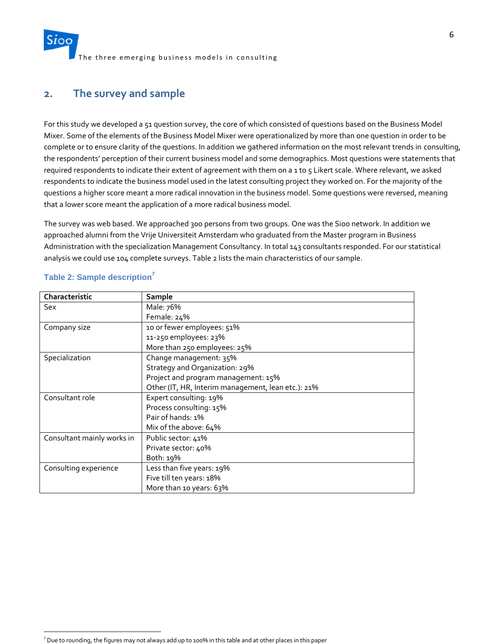Sioo The three emerging business models in consulting

## **2. The survey and sample**

For this study we developed a 51 question survey, the core of which consisted of questions based on the Business Model Mixer. Some of the elements of the Business Model Mixer were operationalized by more than one question in order to be complete or to ensure clarity of the questions. In addition we gathered information on the most relevant trends in consulting, the respondents' perception of their current business model and some demographics. Most questions were statements that required respondents to indicate their extent of agreement with them on a 1 to 5 Likert scale. Where relevant, we asked respondents to indicate the business model used in the latest consulting project they worked on. For the majority of the questions a higher score meant a more radical innovation in the business model. Some questions were reversed, meaning that a lower score meant the application of a more radical business model.

The survey was web based. We approached 300 persons from two groups. One was the Sioo network. In addition we approached alumni from the Vrije Universiteit Amsterdam who graduated from the Master program in Business Administration with the specialization Management Consultancy. In total 143 consultants responded. For our statistical analysis we could use 104 complete surveys. Table 2 lists the main characteristics of our sample.

| Characteristic             | Sample                                             |
|----------------------------|----------------------------------------------------|
| Sex                        | Male: 76%                                          |
|                            | Female: 24%                                        |
| Company size               | 10 or fewer employees: 51%                         |
|                            | 11-250 employees: 23%                              |
|                            | More than 250 employees: 25%                       |
| Specialization             | Change management: 35%                             |
|                            | Strategy and Organization: 29%                     |
|                            | Project and program management: 15%                |
|                            | Other (IT, HR, Interim management, lean etc.): 21% |
| Consultant role            | Expert consulting: 19%                             |
|                            | Process consulting: 15%                            |
|                            | Pair of hands: 1%                                  |
|                            | Mix of the above: 64%                              |
| Consultant mainly works in | Public sector: 41%                                 |
|                            | Private sector: 40%                                |
|                            | Both: 19%                                          |
| Consulting experience      | Less than five years: 19%                          |
|                            | Five till ten years: 18%                           |
|                            | More than 10 years: 63%                            |

#### **Table 2: Sample description<sup>7</sup>**

l

 $7$  Due to rounding, the figures may not always add up to 100% in this table and at other places in this paper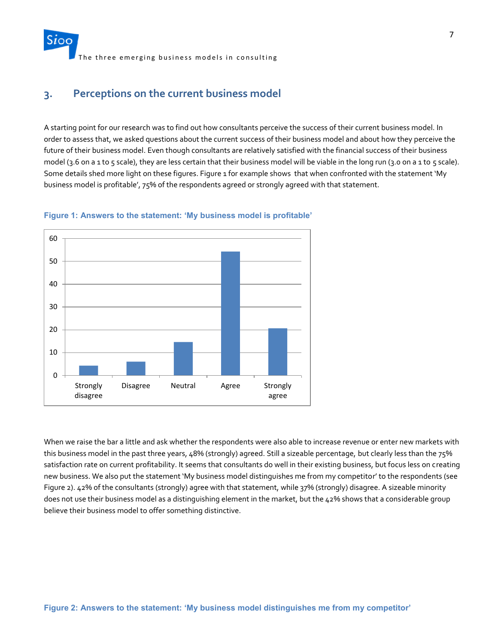## **3. Perceptions on the current business model**

A starting point for our research was to find out how consultants perceive the success of their current business model. In order to assess that, we asked questions about the current success of their business model and about how they perceive the future of their business model. Even though consultants are relatively satisfied with the financial success of their business model (3.6 on a 1 to 5 scale), they are less certain that their business model will be viable in the long run (3.0 on a 1 to 5 scale). Some details shed more light on these figures. Figure 1 for example shows that when confronted with the statement 'My business model is profitable', 75% of the respondents agreed or strongly agreed with that statement.



#### **Figure 1: Answers to the statement: 'My business model is profitable'**

When we raise the bar a little and ask whether the respondents were also able to increase revenue or enter new markets with this business model in the past three years, 48% (strongly) agreed. Still a sizeable percentage, but clearly less than the 75% satisfaction rate on current profitability. It seems that consultants do well in their existing business, but focus less on creating new business. We also put the statement 'My business model distinguishes me from my competitor' to the respondents (see Figure 2). 42% of the consultants (strongly) agree with that statement, while 37% (strongly) disagree. A sizeable minority does not use their business model as a distinguishing element in the market, but the 42% shows that a considerable group believe their business model to offer something distinctive.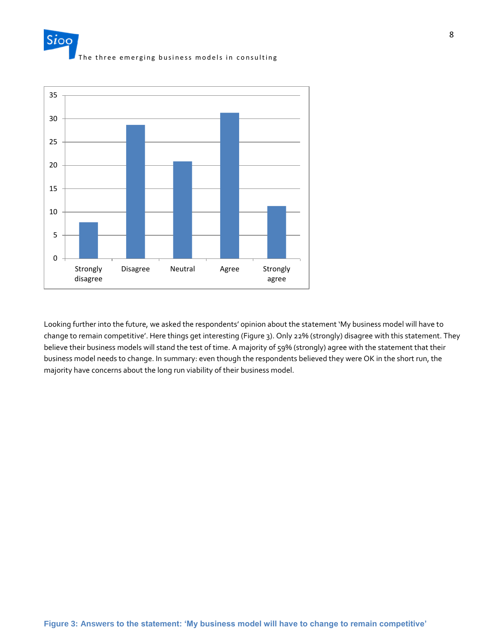



Looking further into the future, we asked the respondents' opinion about the statement 'My business model will have to change to remain competitive'. Here things get interesting (Figure 3). Only 22% (strongly) disagree with this statement. They believe their business models will stand the test of time. A majority of 59% (strongly) agree with the statement that their business model needs to change. In summary: even though the respondents believed they were OK in the short run, the majority have concerns about the long run viability of their business model.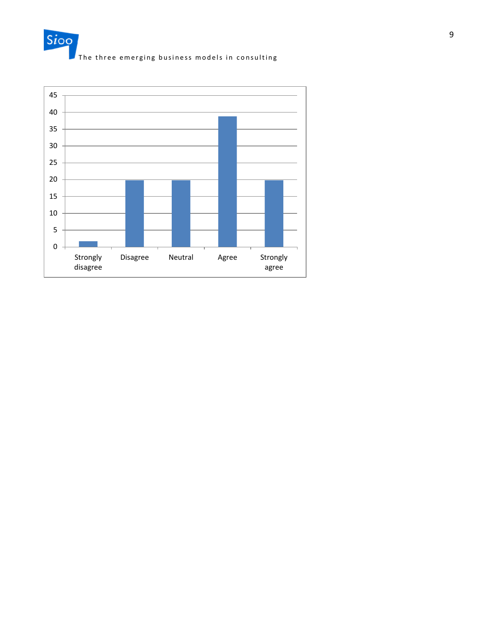

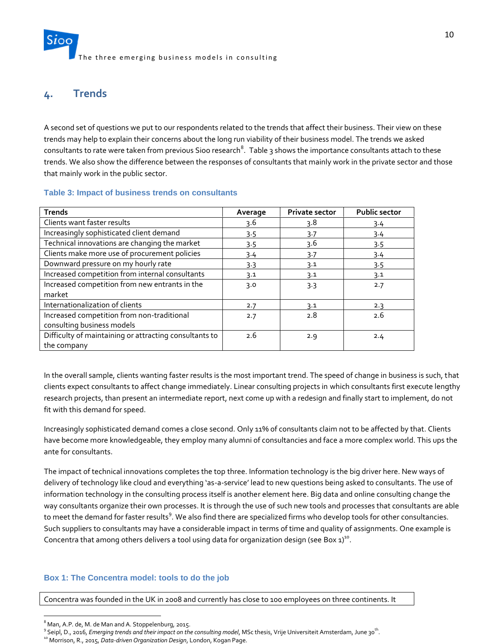## **4. Trends**

A second set of questions we put to our respondents related to the trends that affect their business. Their view on these trends may help to explain their concerns about the long run viability of their business model. The trends we asked consultants to rate were taken from previous Sioo research $^8$ . Table 3 shows the importance consultants attach to these trends. We also show the difference between the responses of consultants that mainly work in the private sector and those that mainly work in the public sector.

| <b>Trends</b>                                          | Average | <b>Private sector</b> | <b>Public sector</b> |
|--------------------------------------------------------|---------|-----------------------|----------------------|
| Clients want faster results                            | 3.6     | 3.8                   | 3.4                  |
| Increasingly sophisticated client demand               | 3.5     | 3.7                   | 3.4                  |
| Technical innovations are changing the market          | 3.5     | 3.6                   | 3.5                  |
| Clients make more use of procurement policies          | 3.4     | 3.7                   | 3.4                  |
| Downward pressure on my hourly rate                    | 3.3     | 3.1                   | 3.5                  |
| Increased competition from internal consultants        | 3.1     | 3.1                   | 3.1                  |
| Increased competition from new entrants in the         | 3.0     | 3.3                   | 2.7                  |
| market                                                 |         |                       |                      |
| Internationalization of clients                        | 2.7     | 3.1                   | 2.3                  |
| Increased competition from non-traditional             | 2.7     | 2.8                   | 2.6                  |
| consulting business models                             |         |                       |                      |
| Difficulty of maintaining or attracting consultants to | 2.6     | 2.9                   | 2.4                  |
| the company                                            |         |                       |                      |

#### **Table 3: Impact of business trends on consultants**

In the overall sample, clients wanting faster results is the most important trend. The speed of change in business is such, that clients expect consultants to affect change immediately. Linear consulting projects in which consultants first execute lengthy research projects, than present an intermediate report, next come up with a redesign and finally start to implement, do not fit with this demand for speed.

Increasingly sophisticated demand comes a close second. Only 11% of consultants claim not to be affected by that. Clients have become more knowledgeable, they employ many alumni of consultancies and face a more complex world. This ups the ante for consultants.

The impact of technical innovations completes the top three. Information technology is the big driver here. New ways of delivery of technology like cloud and everything 'as-a-service' lead to new questions being asked to consultants. The use of information technology in the consulting process itself is another element here. Big data and online consulting change the way consultants organize their own processes. It is through the use of such new tools and processes that consultants are able to meet the demand for faster results<sup>9</sup>. We also find there are specialized firms who develop tools for other consultancies. Such suppliers to consultants may have a considerable impact in terms of time and quality of assignments. One example is Concentra that among others delivers a tool using data for organization design (see Box  $1)^{10}$ .

### **Box 1: The Concentra model: tools to do the job**

Concentra was founded in the UK in 2008 and currently has close to 100 employees on three continents. It

<sup>&</sup>lt;sup>8</sup> Man, A.P. de, M. de Man and A. Stoppelenburg, 2015.

<sup>&</sup>lt;sup>9</sup> Seipl, D., 2016, *Emerging trends and their impact on the consulting model*, MSc thesis, Vrije Universiteit Amsterdam, June 30<sup>th</sup>.

<sup>10</sup> Morrison, R., 2015, *Data-driven Organization Design*, London, Kogan Page.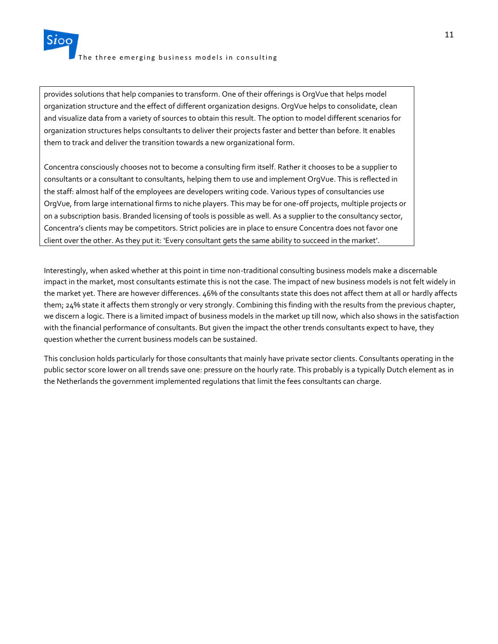

provides solutions that help companies to transform. One of their offerings is OrgVue that helps model organization structure and the effect of different organization designs. OrgVue helps to consolidate, clean and visualize data from a variety of sources to obtain this result. The option to model different scenarios for organization structures helps consultants to deliver their projects faster and better than before. It enables them to track and deliver the transition towards a new organizational form.

Concentra consciously chooses not to become a consulting firm itself. Rather it chooses to be a supplier to consultants or a consultant to consultants, helping them to use and implement OrgVue. This is reflected in the staff: almost half of the employees are developers writing code. Various types of consultancies use OrgVue, from large international firms to niche players. This may be for one-off projects, multiple projects or on a subscription basis. Branded licensing of tools is possible as well. As a supplier to the consultancy sector, Concentra's clients may be competitors. Strict policies are in place to ensure Concentra does not favor one client over the other. As they put it: 'Every consultant gets the same ability to succeed in the market'.

Interestingly, when asked whether at this point in time non-traditional consulting business models make a discernable impact in the market, most consultants estimate this is not the case. The impact of new business models is not felt widely in the market yet. There are however differences. 46% of the consultants state this does not affect them at all or hardly affects them; 24% state it affects them strongly or very strongly. Combining this finding with the results from the previous chapter, we discern a logic. There is a limited impact of business models in the market up till now, which also shows in the satisfaction with the financial performance of consultants. But given the impact the other trends consultants expect to have, they question whether the current business models can be sustained.

This conclusion holds particularly for those consultants that mainly have private sector clients. Consultants operating in the public sector score lower on all trends save one: pressure on the hourly rate. This probably is a typically Dutch element as in the Netherlands the government implemented regulations that limit the fees consultants can charge.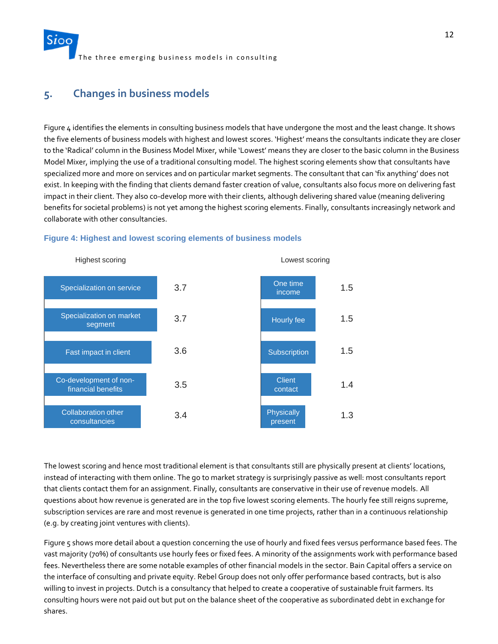## **5. Changes in business models**

Figure 4 identifies the elements in consulting business models that have undergone the most and the least change. It shows the five elements of business models with highest and lowest scores. 'Highest' means the consultants indicate they are closer to the 'Radical' column in the Business Model Mixer, while 'Lowest' means they are closer to the basic column in the Business Model Mixer, implying the use of a traditional consulting model. The highest scoring elements show that consultants have specialized more and more on services and on particular market segments. The consultant that can 'fix anything' does not exist. In keeping with the finding that clients demand faster creation of value, consultants also focus more on delivering fast impact in their client. They also co-develop more with their clients, although delivering shared value (meaning delivering benefits for societal problems) is not yet among the highest scoring elements. Finally, consultants increasingly network and collaborate with other consultancies.





The lowest scoring and hence most traditional element is that consultants still are physically present at clients' locations, instead of interacting with them online. The go to market strategy is surprisingly passive as well: most consultants report that clients contact them for an assignment. Finally, consultants are conservative in their use of revenue models. All questions about how revenue is generated are in the top five lowest scoring elements. The hourly fee still reigns supreme, subscription services are rare and most revenue is generated in one time projects, rather than in a continuous relationship (e.g. by creating joint ventures with clients).

Figure 5 shows more detail about a question concerning the use of hourly and fixed fees versus performance based fees. The vast majority (70%) of consultants use hourly fees or fixed fees. A minority of the assignments work with performance based fees. Nevertheless there are some notable examples of other financial models in the sector. Bain Capital offers a service on the interface of consulting and private equity. Rebel Group does not only offer performance based contracts, but is also willing to invest in projects. Dutch is a consultancy that helped to create a cooperative of sustainable fruit farmers. Its consulting hours were not paid out but put on the balance sheet of the cooperative as subordinated debt in exchange for shares.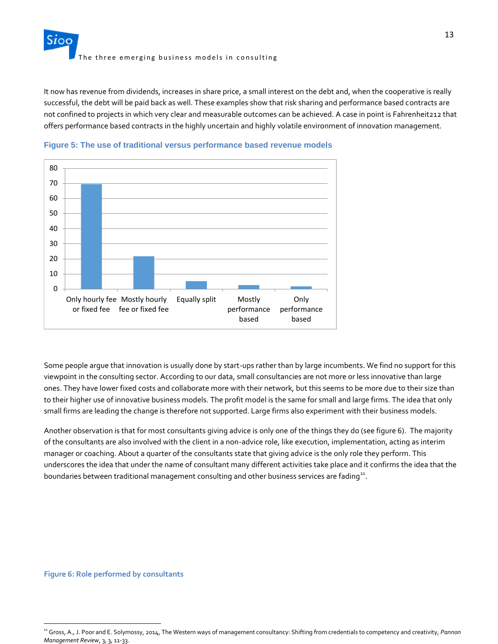It now has revenue from dividends, increases in share price, a small interest on the debt and, when the cooperative is really successful, the debt will be paid back as well. These examples show that risk sharing and performance based contracts are not confined to projects in which very clear and measurable outcomes can be achieved. A case in point is Fahrenheit212 that offers performance based contracts in the highly uncertain and highly volatile environment of innovation management.





Some people argue that innovation is usually done by start-ups rather than by large incumbents. We find no support for this viewpoint in the consulting sector. According to our data, small consultancies are not more or less innovative than large ones. They have lower fixed costs and collaborate more with their network, but this seems to be more due to their size than to their higher use of innovative business models. The profit model is the same for small and large firms. The idea that only small firms are leading the change is therefore not supported. Large firms also experiment with their business models.

Another observation is that for most consultants giving advice is only one of the things they do (see figure 6). The majority of the consultants are also involved with the client in a non-advice role, like execution, implementation, acting as interim manager or coaching. About a quarter of the consultants state that giving advice is the only role they perform. This underscores the idea that under the name of consultant many different activities take place and it confirms the idea that the boundaries between traditional management consulting and other business services are fading $^{\rm 11}.$ 

**Figure 6: Role performed by consultants**

<sup>&</sup>lt;sup>11</sup> Gross, A., J. Poor and E. Solymossy, 2014, The Western ways of management consultancy: Shifting from credentials to competency and creativity, *Pannon Management Review*, 3, 3, 11-33.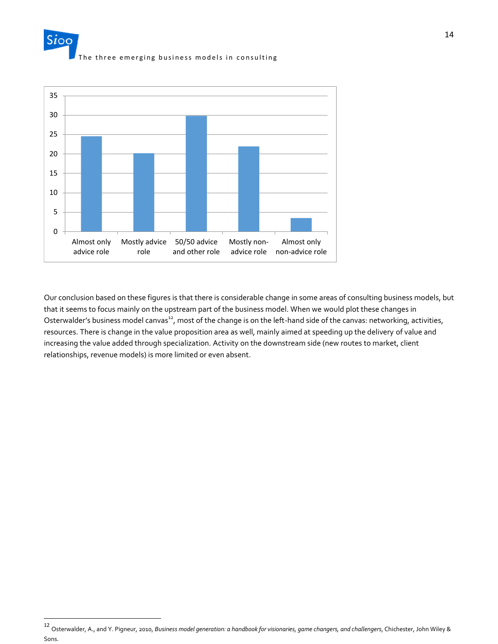



Our conclusion based on these figures is that there is considerable change in some areas of consulting business models, but that it seems to focus mainly on the upstream part of the business model. When we would plot these changes in Osterwalder's business model canvas<sup>12</sup>, most of the change is on the left-hand side of the canvas: networking, activities, resources. There is change in the value proposition area as well, mainly aimed at speeding up the delivery of value and increasing the value added through specialization. Activity on the downstream side (new routes to market, client relationships, revenue models) is more limited or even absent.

 $\overline{\phantom{a}}$ 

<sup>12</sup> Osterwalder, A., and Y. Pigneur, 2010, *Business model generation: a handbook for visionaries, game changers, and challengers*, Chichester, John Wiley & Sons.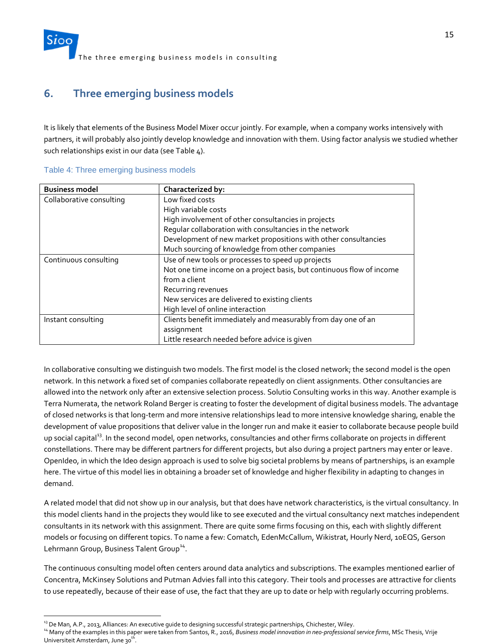## **6. Three emerging business models**

It is likely that elements of the Business Model Mixer occur jointly. For example, when a company works intensively with partners, it will probably also jointly develop knowledge and innovation with them. Using factor analysis we studied whether such relationships exist in our data (see Table 4).

| <b>Business model</b>    | Characterized by:                                                     |
|--------------------------|-----------------------------------------------------------------------|
| Collaborative consulting | Low fixed costs                                                       |
|                          | High variable costs                                                   |
|                          | High involvement of other consultancies in projects                   |
|                          | Regular collaboration with consultancies in the network               |
|                          | Development of new market propositions with other consultancies       |
|                          | Much sourcing of knowledge from other companies                       |
| Continuous consulting    | Use of new tools or processes to speed up projects                    |
|                          | Not one time income on a project basis, but continuous flow of income |
|                          | from a client                                                         |
|                          | Recurring revenues                                                    |
|                          | New services are delivered to existing clients                        |
|                          | High level of online interaction                                      |
| Instant consulting       | Clients benefit immediately and measurably from day one of an         |
|                          | assignment                                                            |
|                          | Little research needed before advice is given                         |

### Table 4: Three emerging business models

In collaborative consulting we distinguish two models. The first model is the closed network; the second model is the open network. In this network a fixed set of companies collaborate repeatedly on client assignments. Other consultancies are allowed into the network only after an extensive selection process. Solutio Consulting works in this way. Another example is Terra Numerata, the network Roland Berger is creating to foster the development of digital business models. The advantage of closed networks is that long-term and more intensive relationships lead to more intensive knowledge sharing, enable the development of value propositions that deliver value in the longer run and make it easier to collaborate because people build up social capital<sup>13</sup>. In the second model, open networks, consultancies and other firms collaborate on projects in different constellations. There may be different partners for different projects, but also during a project partners may enter or leave. OpenIdeo, in which the Ideo design approach is used to solve big societal problems by means of partnerships, is an example here. The virtue of this model lies in obtaining a broader set of knowledge and higher flexibility in adapting to changes in demand.

A related model that did not show up in our analysis, but that does have network characteristics, is the virtual consultancy. In this model clients hand in the projects they would like to see executed and the virtual consultancy next matches independent consultants in its network with this assignment. There are quite some firms focusing on this, each with slightly different models or focusing on different topics. To name a few: Comatch, EdenMcCallum, Wikistrat, Hourly Nerd, 10EQS, Gerson Lehrmann Group, Business Talent Group<sup>14</sup>.

The continuous consulting model often centers around data analytics and subscriptions. The examples mentioned earlier of Concentra, McKinsey Solutions and Putman Advies fall into this category. Their tools and processes are attractive for clients to use repeatedly, because of their ease of use, the fact that they are up to date or help with regularly occurring problems.

<sup>&</sup>lt;sup>13</sup> De Man, A.P., 2013, Alliances: An executive guide to designing successful strategic partnerships, Chichester, Wiley.

<sup>&</sup>lt;sup>14</sup> Many of the examples in this paper were taken from Santos, R., 2016, *Business model innovation in neo-professional service firms*, MSc Thesis, Vrije Universiteit Amsterdam, June 30<sup>th</sup> .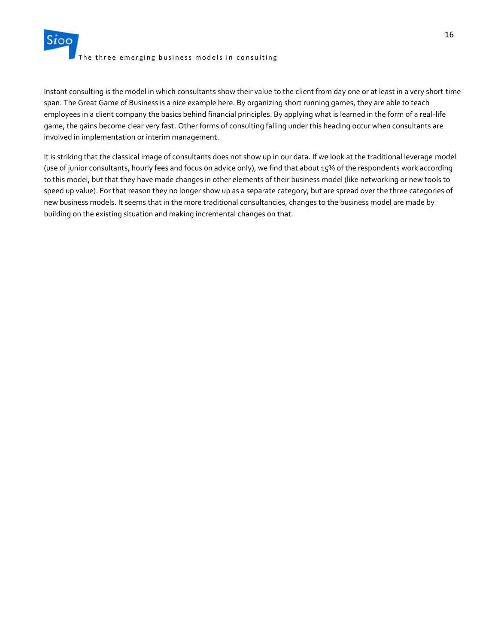Instant consulting is the model in which consultants show their value to the client from day one or at least in a very short time span. The Great Game of Business is a nice example here. By organizing short running games, they are able to teach employees in a client company the basics behind financial principles. By applying what is learned in the form of a real-life game, the gains become clear very fast. Other forms of consulting falling under this heading occur when consultants are involved in implementation or interim management.

It is striking that the classical image of consultants does not show up in our data. If we look at the traditional leverage model (use of junior consultants, hourly fees and focus on advice only), we find that about 15% of the respondents work according to this model, but that they have made changes in other elements of their business model (like networking or new tools to speed up value). For that reason they no longer show up as a separate category, but are spread over the three categories of new business models. It seems that in the more traditional consultancies, changes to the business model are made by building on the existing situation and making incremental changes on that.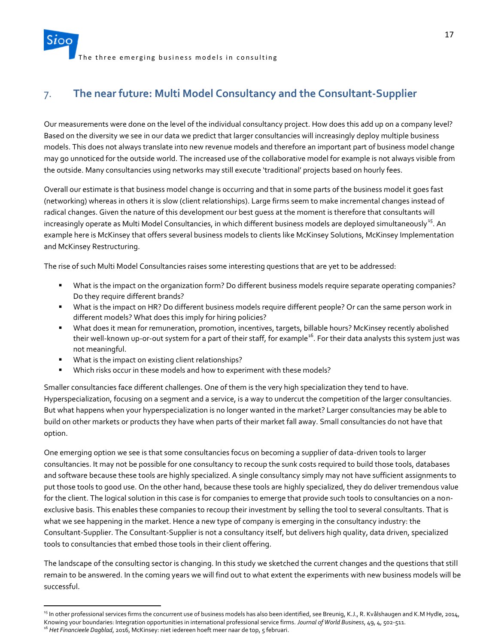The three emerging business models in consulting

## 7. **The near future: Multi Model Consultancy and the Consultant-Supplier**

Our measurements were done on the level of the individual consultancy project. How does this add up on a company level? Based on the diversity we see in our data we predict that larger consultancies will increasingly deploy multiple business models. This does not always translate into new revenue models and therefore an important part of business model change may go unnoticed for the outside world. The increased use of the collaborative model for example is not always visible from the outside. Many consultancies using networks may still execute 'traditional' projects based on hourly fees.

Overall our estimate is that business model change is occurring and that in some parts of the business model it goes fast (networking) whereas in others it is slow (client relationships). Large firms seem to make incremental changes instead of radical changes. Given the nature of this development our best guess at the moment is therefore that consultants will increasingly operate as Multi Model Consultancies, in which different business models are deployed simultaneously<sup>15</sup>. An example here is McKinsey that offers several business models to clients like McKinsey Solutions, McKinsey Implementation and McKinsey Restructuring.

The rise of such Multi Model Consultancies raises some interesting questions that are yet to be addressed:

- What is the impact on the organization form? Do different business models require separate operating companies? Do they require different brands?
- What is the impact on HR? Do different business models require different people? Or can the same person work in different models? What does this imply for hiring policies?
- What does it mean for remuneration, promotion, incentives, targets, billable hours? McKinsey recently abolished their well-known up-or-out system for a part of their staff, for example<sup>16</sup>. For their data analysts this system just was not meaningful.
- What is the impact on existing client relationships?
- Which risks occur in these models and how to experiment with these models?

Smaller consultancies face different challenges. One of them is the very high specialization they tend to have. Hyperspecialization, focusing on a segment and a service, is a way to undercut the competition of the larger consultancies. But what happens when your hyperspecialization is no longer wanted in the market? Larger consultancies may be able to build on other markets or products they have when parts of their market fall away. Small consultancies do not have that option.

One emerging option we see is that some consultancies focus on becoming a supplier of data-driven tools to larger consultancies. It may not be possible for one consultancy to recoup the sunk costs required to build those tools, databases and software because these tools are highly specialized. A single consultancy simply may not have sufficient assignments to put those tools to good use. On the other hand, because these tools are highly specialized, they do deliver tremendous value for the client. The logical solution in this case is for companies to emerge that provide such tools to consultancies on a nonexclusive basis. This enables these companies to recoup their investment by selling the tool to several consultants. That is what we see happening in the market. Hence a new type of company is emerging in the consultancy industry: the Consultant-Supplier. The Consultant-Supplier is not a consultancy itself, but delivers high quality, data driven, specialized tools to consultancies that embed those tools in their client offering.

The landscape of the consulting sector is changing. In this study we sketched the current changes and the questions that still remain to be answered. In the coming years we will find out to what extent the experiments with new business models will be successful.

 $\overline{\phantom{a}}$ 

<sup>&</sup>lt;sup>15</sup> In other professional services firms the concurrent use of business models has also been identified, see Breunig, K.J., R. Kvålshaugen and K.M Hydle, 2014, Knowing your boundaries: Integration opportunities in international professional service firms. *Journal of World Business*, 49, 4, 502-511.

<sup>16</sup> *Het Financieele Dagblad*, 2016, McKinsey: niet iedereen hoeft meer naar de top, 5 februari.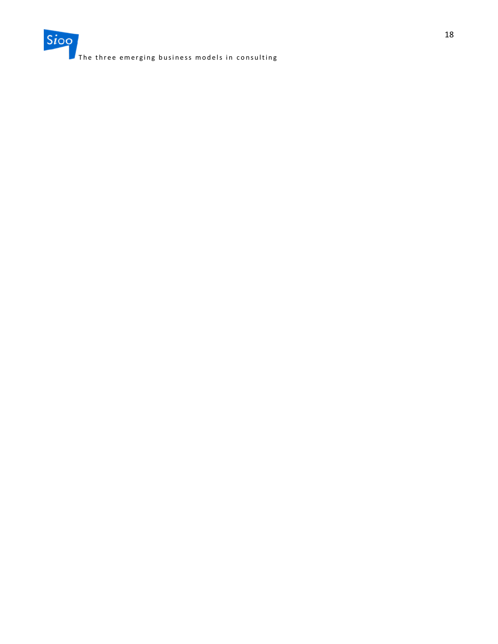